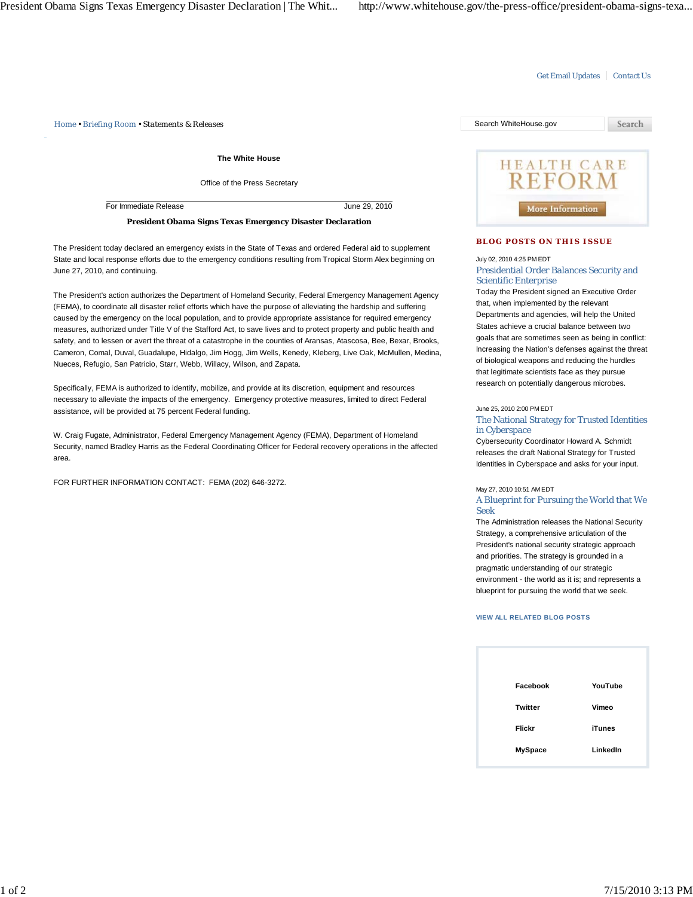## Get Email Updates | Contact Us

*Home • Briefing Room • Statements & Releases* Search WhiteHouse.gov

**The White House**

Office of the Press Secretary

For Immediate Release June 29, 2010

**President Obama Signs Texas Emergency Disaster Declaration**

The President today declared an emergency exists in the State of Texas and ordered Federal aid to supplement State and local response efforts due to the emergency conditions resulting from Tropical Storm Alex beginning on June 27, 2010, and continuing.

The President's action authorizes the Department of Homeland Security, Federal Emergency Management Agency (FEMA), to coordinate all disaster relief efforts which have the purpose of alleviating the hardship and suffering caused by the emergency on the local population, and to provide appropriate assistance for required emergency measures, authorized under Title V of the Stafford Act, to save lives and to protect property and public health and safety, and to lessen or avert the threat of a catastrophe in the counties of Aransas, Atascosa, Bee, Bexar, Brooks, Cameron, Comal, Duval, Guadalupe, Hidalgo, Jim Hogg, Jim Wells, Kenedy, Kleberg, Live Oak, McMullen, Medina, Nueces, Refugio, San Patricio, Starr, Webb, Willacy, Wilson, and Zapata.

Specifically, FEMA is authorized to identify, mobilize, and provide at its discretion, equipment and resources necessary to alleviate the impacts of the emergency. Emergency protective measures, limited to direct Federal assistance, will be provided at 75 percent Federal funding.

W. Craig Fugate, Administrator, Federal Emergency Management Agency (FEMA), Department of Homeland Security, named Bradley Harris as the Federal Coordinating Officer for Federal recovery operations in the affected area.

FOR FURTHER INFORMATION CONTACT: FEMA (202) 646-3272.



## **BLOG POSTS ON THIS ISSUE**

July 02, 2010 4:25 PM EDT

Presidential Order Balances Security and Scientific Enterprise

Today the President signed an Executive Order that, when implemented by the relevant Departments and agencies, will help the United States achieve a crucial balance between two goals that are sometimes seen as being in conflict: Increasing the Nation's defenses against the threat of biological weapons and reducing the hurdles that legitimate scientists face as they pursue research on potentially dangerous microbes.

June 25, 2010 2:00 PM EDT

The National Strategy for Trusted Identities in Cyberspace

Cybersecurity Coordinator Howard A. Schmidt releases the draft National Strategy for Trusted Identities in Cyberspace and asks for your input.

## May 27, 2010 10:51 AM EDT

A Blueprint for Pursuing the World that We Seek

The Administration releases the National Security Strategy, a comprehensive articulation of the President's national security strategic approach and priorities. The strategy is grounded in a pragmatic understanding of our strategic environment - the world as it is; and represents a blueprint for pursuing the world that we seek.

## **VIEW ALL RELATED BLOG POSTS**

| Facebook       | YouTube       |
|----------------|---------------|
| Twitter        | Vimeo         |
| <b>Flickr</b>  | <b>iTunes</b> |
| <b>MySpace</b> | LinkedIn      |